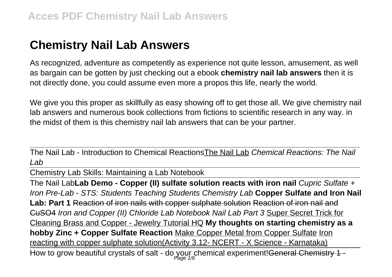# **Chemistry Nail Lab Answers**

As recognized, adventure as competently as experience not quite lesson, amusement, as well as bargain can be gotten by just checking out a ebook **chemistry nail lab answers** then it is not directly done, you could assume even more a propos this life, nearly the world.

We give you this proper as skillfully as easy showing off to get those all. We give chemistry nail lab answers and numerous book collections from fictions to scientific research in any way. in the midst of them is this chemistry nail lab answers that can be your partner.

The Nail Lab - Introduction to Chemical ReactionsThe Nail Lab Chemical Reactions: The Nail Lab

Chemistry Lab Skills: Maintaining a Lab Notebook

The Nail Lab**Lab Demo - Copper (II) sulfate solution reacts with iron nail** Cupric Sulfate + Iron Pre-Lab - STS: Students Teaching Students Chemistry Lab **Copper Sulfate and Iron Nail Lab: Part 1** Reaction of iron nails with copper sulphate solution Reaction of iron nail and CuSO4 Iron and Copper (II) Chloride Lab Notebook Nail Lab Part 3 Super Secret Trick for Cleaning Brass and Copper - Jewelry Tutorial HQ **My thoughts on starting chemistry as a hobby Zinc + Copper Sulfate Reaction** Make Copper Metal from Copper Sulfate Iron reacting with copper sulphate solution(Activity 3.12- NCERT - X Science - Karnataka) How to grow beautiful crystals of salt - do your chemical experiment!<del>General Chemistry 1 -</del>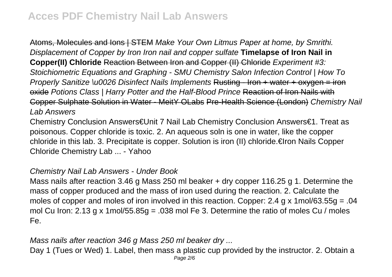Atoms, Molecules and Ions | STEM Make Your Own Litmus Paper at home, by Smrithi. Displacement of Copper by Iron Iron nail and copper sulfate **Timelapse of Iron Nail in Copper(II) Chloride** Reaction Between Iron and Copper (II) Chloride Experiment #3: Stoichiometric Equations and Graphing - SMU Chemistry Salon Infection Control | How To Properly Sanitize \u0026 Disinfect Nails Implements Rusting - Iron + water + oxygen = iron oxide Potions Class | Harry Potter and the Half-Blood Prince Reaction of Iron Nails with Copper Sulphate Solution in Water - MeitY OLabs Pre-Health Science (London) Chemistry Nail Lab Answers

Chemistry Conclusion Answers€Unit 7 Nail Lab Chemistry Conclusion Answers€1. Treat as poisonous. Copper chloride is toxic. 2. An aqueous soln is one in water, like the copper chloride in this lab. 3. Precipitate is copper. Solution is iron (II) chloride.€Iron Nails Copper Chloride Chemistry Lab ... - Yahoo

#### Chemistry Nail Lab Answers - Under Book

Mass nails after reaction 3.46 g Mass 250 ml beaker + dry copper 116.25 g 1. Determine the mass of copper produced and the mass of iron used during the reaction. 2. Calculate the moles of copper and moles of iron involved in this reaction. Copper: 2.4 g x 1mol/63.55g = .04 mol Cu Iron: 2.13 g x 1mol/55.85g = .038 mol Fe 3. Determine the ratio of moles Cu / moles Fe.

Mass nails after reaction 346 g Mass 250 ml beaker dry ...

Day 1 (Tues or Wed) 1. Label, then mass a plastic cup provided by the instructor. 2. Obtain a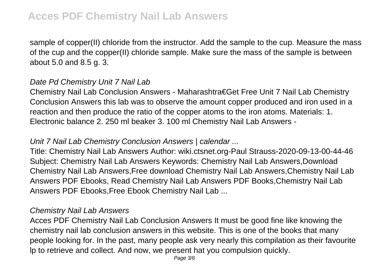sample of copper(II) chloride from the instructor. Add the sample to the cup. Measure the mass of the cup and the copper(II) chloride sample. Make sure the mass of the sample is between about 5.0 and 8.5 g. 3.

#### Date Pd Chemistry Unit 7 Nail Lab

Chemistry Nail Lab Conclusion Answers - Maharashtra€Get Free Unit 7 Nail Lab Chemistry Conclusion Answers this lab was to observe the amount copper produced and iron used in a reaction and then produce the ratio of the copper atoms to the iron atoms. Materials: 1. Electronic balance 2. 250 ml beaker 3. 100 ml Chemistry Nail Lab Answers -

#### Unit 7 Nail Lab Chemistry Conclusion Answers | calendar ...

Title: Chemistry Nail Lab Answers Author: wiki.ctsnet.org-Paul Strauss-2020-09-13-00-44-46 Subject: Chemistry Nail Lab Answers Keywords: Chemistry Nail Lab Answers,Download Chemistry Nail Lab Answers,Free download Chemistry Nail Lab Answers,Chemistry Nail Lab Answers PDF Ebooks, Read Chemistry Nail Lab Answers PDF Books,Chemistry Nail Lab Answers PDF Ebooks,Free Ebook Chemistry Nail Lab ...

#### Chemistry Nail Lab Answers

Acces PDF Chemistry Nail Lab Conclusion Answers It must be good fine like knowing the chemistry nail lab conclusion answers in this website. This is one of the books that many people looking for. In the past, many people ask very nearly this compilation as their favourite lp to retrieve and collect. And now, we present hat you compulsion quickly.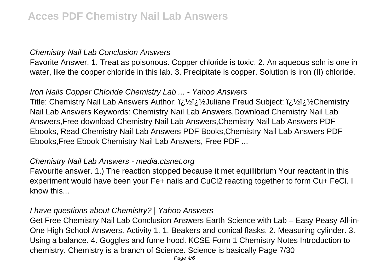#### Chemistry Nail Lab Conclusion Answers

Favorite Answer. 1. Treat as poisonous. Copper chloride is toxic. 2. An aqueous soln is one in water, like the copper chloride in this lab. 3. Precipitate is copper. Solution is iron (II) chloride.

# Iron Nails Copper Chloride Chemistry Lab ... - Yahoo Answers

Title: Chemistry Nail Lab Answers Author: *ii* 1/2 Juliane Freud Subiect: *ii* 1/2 L'<sub>2</sub> Demistry Nail Lab Answers Keywords: Chemistry Nail Lab Answers,Download Chemistry Nail Lab Answers,Free download Chemistry Nail Lab Answers,Chemistry Nail Lab Answers PDF Ebooks, Read Chemistry Nail Lab Answers PDF Books,Chemistry Nail Lab Answers PDF Ebooks,Free Ebook Chemistry Nail Lab Answers, Free PDF ...

#### Chemistry Nail Lab Answers - media.ctsnet.org

Favourite answer. 1.) The reaction stopped because it met equillibrium Your reactant in this experiment would have been your Fe+ nails and CuCl2 reacting together to form Cu+ FeCl. I know this...

#### I have questions about Chemistry? | Yahoo Answers

Get Free Chemistry Nail Lab Conclusion Answers Earth Science with Lab – Easy Peasy All-in-One High School Answers. Activity 1. 1. Beakers and conical flasks. 2. Measuring cylinder. 3. Using a balance. 4. Goggles and fume hood. KCSE Form 1 Chemistry Notes Introduction to chemistry. Chemistry is a branch of Science. Science is basically Page 7/30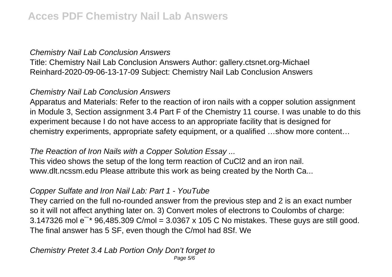# Chemistry Nail Lab Conclusion Answers

Title: Chemistry Nail Lab Conclusion Answers Author: gallery.ctsnet.org-Michael Reinhard-2020-09-06-13-17-09 Subject: Chemistry Nail Lab Conclusion Answers

# Chemistry Nail Lab Conclusion Answers

Apparatus and Materials: Refer to the reaction of iron nails with a copper solution assignment in Module 3, Section assignment 3.4 Part F of the Chemistry 11 course. I was unable to do this experiment because I do not have access to an appropriate facility that is designed for chemistry experiments, appropriate safety equipment, or a qualified …show more content…

#### The Reaction of Iron Nails with a Copper Solution Essay ...

This video shows the setup of the long term reaction of CuCl2 and an iron nail. www.dlt.ncssm.edu Please attribute this work as being created by the North Ca...

# Copper Sulfate and Iron Nail Lab: Part 1 - YouTube

They carried on the full no-rounded answer from the previous step and 2 is an exact number so it will not affect anything later on. 3) Convert moles of electrons to Coulombs of charge: 3.147326 mol  $e^{-*}$  96,485.309 C/mol = 3.0367 x 105 C No mistakes. These guys are still good. The final answer has 5 SF, even though the C/mol had 8Sf. We

# Chemistry Pretet 3.4 Lab Portion Only Don't forget to